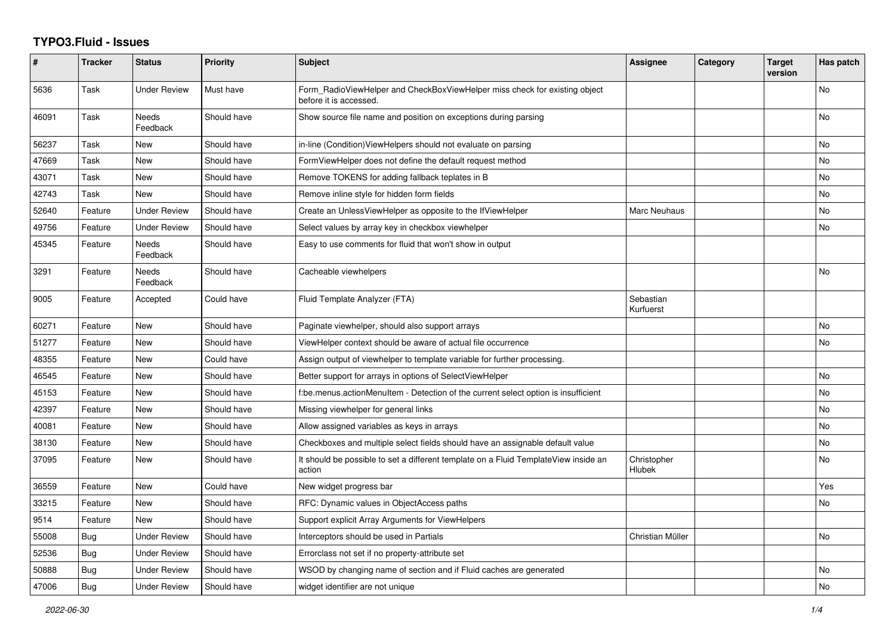## **TYPO3.Fluid - Issues**

| #     | <b>Tracker</b> | <b>Status</b>       | <b>Priority</b> | Subject                                                                                              | <b>Assignee</b>        | Category | <b>Target</b><br>version | Has patch |
|-------|----------------|---------------------|-----------------|------------------------------------------------------------------------------------------------------|------------------------|----------|--------------------------|-----------|
| 5636  | Task           | <b>Under Review</b> | Must have       | Form RadioViewHelper and CheckBoxViewHelper miss check for existing object<br>before it is accessed. |                        |          |                          | <b>No</b> |
| 46091 | Task           | Needs<br>Feedback   | Should have     | Show source file name and position on exceptions during parsing                                      |                        |          |                          | No        |
| 56237 | Task           | New                 | Should have     | in-line (Condition) View Helpers should not evaluate on parsing                                      |                        |          |                          | No        |
| 47669 | Task           | <b>New</b>          | Should have     | FormViewHelper does not define the default request method                                            |                        |          |                          | <b>No</b> |
| 43071 | Task           | New                 | Should have     | Remove TOKENS for adding fallback teplates in B                                                      |                        |          |                          | No        |
| 42743 | Task           | New                 | Should have     | Remove inline style for hidden form fields                                                           |                        |          |                          | No        |
| 52640 | Feature        | <b>Under Review</b> | Should have     | Create an UnlessViewHelper as opposite to the IfViewHelper                                           | Marc Neuhaus           |          |                          | No        |
| 49756 | Feature        | <b>Under Review</b> | Should have     | Select values by array key in checkbox viewhelper                                                    |                        |          |                          | No        |
| 45345 | Feature        | Needs<br>Feedback   | Should have     | Easy to use comments for fluid that won't show in output                                             |                        |          |                          |           |
| 3291  | Feature        | Needs<br>Feedback   | Should have     | Cacheable viewhelpers                                                                                |                        |          |                          | No        |
| 9005  | Feature        | Accepted            | Could have      | Fluid Template Analyzer (FTA)                                                                        | Sebastian<br>Kurfuerst |          |                          |           |
| 60271 | Feature        | New                 | Should have     | Paginate viewhelper, should also support arrays                                                      |                        |          |                          | <b>No</b> |
| 51277 | Feature        | New                 | Should have     | ViewHelper context should be aware of actual file occurrence                                         |                        |          |                          | No        |
| 48355 | Feature        | New                 | Could have      | Assign output of viewhelper to template variable for further processing.                             |                        |          |                          |           |
| 46545 | Feature        | New                 | Should have     | Better support for arrays in options of SelectViewHelper                                             |                        |          |                          | <b>No</b> |
| 45153 | Feature        | <b>New</b>          | Should have     | f:be.menus.actionMenuItem - Detection of the current select option is insufficient                   |                        |          |                          | <b>No</b> |
| 42397 | Feature        | New                 | Should have     | Missing viewhelper for general links                                                                 |                        |          |                          | No        |
| 40081 | Feature        | New                 | Should have     | Allow assigned variables as keys in arrays                                                           |                        |          |                          | No        |
| 38130 | Feature        | <b>New</b>          | Should have     | Checkboxes and multiple select fields should have an assignable default value                        |                        |          |                          | <b>No</b> |
| 37095 | Feature        | New                 | Should have     | It should be possible to set a different template on a Fluid TemplateView inside an<br>action        | Christopher<br>Hlubek  |          |                          | No        |
| 36559 | Feature        | New                 | Could have      | New widget progress bar                                                                              |                        |          |                          | Yes       |
| 33215 | Feature        | <b>New</b>          | Should have     | RFC: Dynamic values in ObjectAccess paths                                                            |                        |          |                          | No        |
| 9514  | Feature        | <b>New</b>          | Should have     | Support explicit Array Arguments for ViewHelpers                                                     |                        |          |                          |           |
| 55008 | <b>Bug</b>     | <b>Under Review</b> | Should have     | Interceptors should be used in Partials                                                              | Christian Müller       |          |                          | <b>No</b> |
| 52536 | Bug            | <b>Under Review</b> | Should have     | Errorclass not set if no property-attribute set                                                      |                        |          |                          |           |
| 50888 | Bug            | <b>Under Review</b> | Should have     | WSOD by changing name of section and if Fluid caches are generated                                   |                        |          |                          | No        |
| 47006 | Bug            | <b>Under Review</b> | Should have     | widget identifier are not unique                                                                     |                        |          |                          | No        |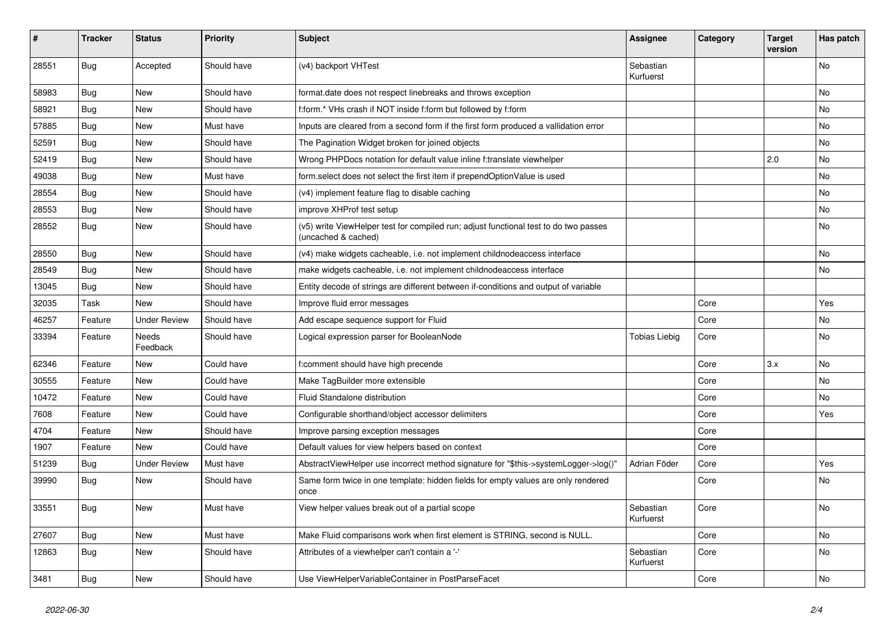| #     | <b>Tracker</b> | <b>Status</b>       | <b>Priority</b> | Subject                                                                                                     | <b>Assignee</b>        | Category | <b>Target</b><br>version | Has patch |
|-------|----------------|---------------------|-----------------|-------------------------------------------------------------------------------------------------------------|------------------------|----------|--------------------------|-----------|
| 28551 | Bug            | Accepted            | Should have     | (v4) backport VHTest                                                                                        | Sebastian<br>Kurfuerst |          |                          | No        |
| 58983 | Bug            | New                 | Should have     | format.date does not respect linebreaks and throws exception                                                |                        |          |                          | No        |
| 58921 | Bug            | New                 | Should have     | f:form.* VHs crash if NOT inside f:form but followed by f:form                                              |                        |          |                          | No        |
| 57885 | Bug            | New                 | Must have       | Inputs are cleared from a second form if the first form produced a vallidation error                        |                        |          |                          | No        |
| 52591 | Bug            | New                 | Should have     | The Pagination Widget broken for joined objects                                                             |                        |          |                          | No        |
| 52419 | Bug            | New                 | Should have     | Wrong PHPDocs notation for default value inline f:translate viewhelper                                      |                        |          | 2.0                      | No        |
| 49038 | Bug            | New                 | Must have       | form select does not select the first item if prependOptionValue is used                                    |                        |          |                          | No        |
| 28554 | Bug            | <b>New</b>          | Should have     | (v4) implement feature flag to disable caching                                                              |                        |          |                          | No        |
| 28553 | <b>Bug</b>     | New                 | Should have     | improve XHProf test setup                                                                                   |                        |          |                          | No        |
| 28552 | <b>Bug</b>     | New                 | Should have     | (v5) write ViewHelper test for compiled run; adjust functional test to do two passes<br>(uncached & cached) |                        |          |                          | No        |
| 28550 | Bug            | New                 | Should have     | (v4) make widgets cacheable, i.e. not implement childnodeaccess interface                                   |                        |          |                          | No        |
| 28549 | Bug            | New                 | Should have     | make widgets cacheable, i.e. not implement childnodeaccess interface                                        |                        |          |                          | No        |
| 13045 | <b>Bug</b>     | New                 | Should have     | Entity decode of strings are different between if-conditions and output of variable                         |                        |          |                          |           |
| 32035 | Task           | New                 | Should have     | Improve fluid error messages                                                                                |                        | Core     |                          | Yes       |
| 46257 | Feature        | <b>Under Review</b> | Should have     | Add escape sequence support for Fluid                                                                       |                        | Core     |                          | No        |
| 33394 | Feature        | Needs<br>Feedback   | Should have     | Logical expression parser for BooleanNode                                                                   | Tobias Liebig          | Core     |                          | No        |
| 62346 | Feature        | New                 | Could have      | f:comment should have high precende                                                                         |                        | Core     | 3.x                      | No        |
| 30555 | Feature        | New                 | Could have      | Make TagBuilder more extensible                                                                             |                        | Core     |                          | No        |
| 10472 | Feature        | New                 | Could have      | Fluid Standalone distribution                                                                               |                        | Core     |                          | No        |
| 7608  | Feature        | New                 | Could have      | Configurable shorthand/object accessor delimiters                                                           |                        | Core     |                          | Yes       |
| 4704  | Feature        | New                 | Should have     | Improve parsing exception messages                                                                          |                        | Core     |                          |           |
| 1907  | Feature        | New                 | Could have      | Default values for view helpers based on context                                                            |                        | Core     |                          |           |
| 51239 | <b>Bug</b>     | <b>Under Review</b> | Must have       | AbstractViewHelper use incorrect method signature for "\$this->systemLogger->log()"                         | Adrian Föder           | Core     |                          | Yes       |
| 39990 | <b>Bug</b>     | New                 | Should have     | Same form twice in one template: hidden fields for empty values are only rendered<br>once                   |                        | Core     |                          | No        |
| 33551 | <b>Bug</b>     | New                 | Must have       | View helper values break out of a partial scope                                                             | Sebastian<br>Kurfuerst | Core     |                          | NO.       |
| 27607 | Bug            | New                 | Must have       | Make Fluid comparisons work when first element is STRING, second is NULL.                                   |                        | Core     |                          | No        |
| 12863 | <b>Bug</b>     | New                 | Should have     | Attributes of a viewhelper can't contain a '-'                                                              | Sebastian<br>Kurfuerst | Core     |                          | No        |
| 3481  | Bug            | New                 | Should have     | Use ViewHelperVariableContainer in PostParseFacet                                                           |                        | Core     |                          | No        |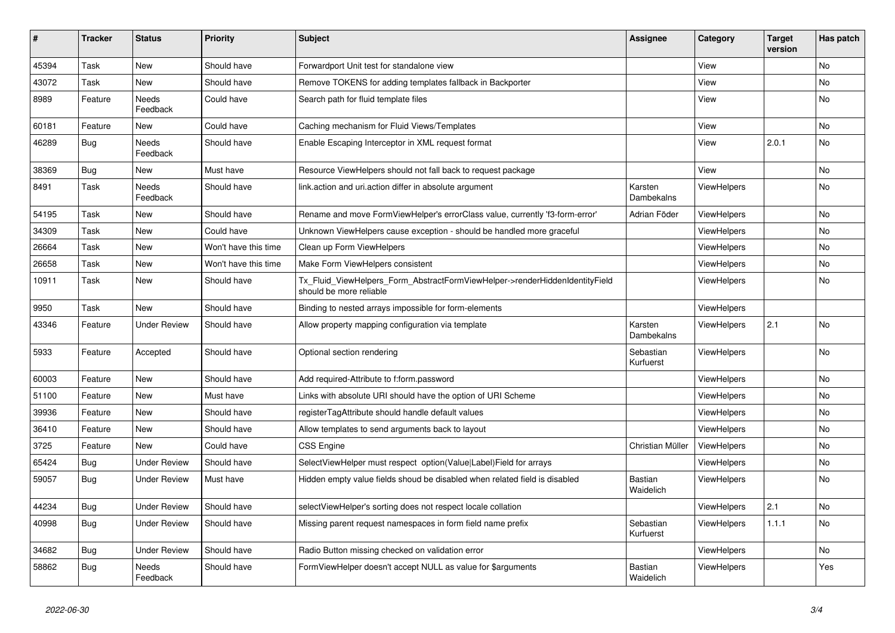| #     | <b>Tracker</b> | <b>Status</b>            | <b>Priority</b>      | <b>Subject</b>                                                                                         | Assignee                    | Category           | <b>Target</b><br>version | Has patch |
|-------|----------------|--------------------------|----------------------|--------------------------------------------------------------------------------------------------------|-----------------------------|--------------------|--------------------------|-----------|
| 45394 | Task           | <b>New</b>               | Should have          | Forwardport Unit test for standalone view                                                              |                             | View               |                          | <b>No</b> |
| 43072 | Task           | <b>New</b>               | Should have          | Remove TOKENS for adding templates fallback in Backporter                                              |                             | View               |                          | <b>No</b> |
| 8989  | Feature        | <b>Needs</b><br>Feedback | Could have           | Search path for fluid template files                                                                   |                             | View               |                          | <b>No</b> |
| 60181 | Feature        | New                      | Could have           | Caching mechanism for Fluid Views/Templates                                                            |                             | View               |                          | <b>No</b> |
| 46289 | <b>Bug</b>     | Needs<br>Feedback        | Should have          | Enable Escaping Interceptor in XML request format                                                      |                             | View               | 2.0.1                    | No        |
| 38369 | Bug            | New                      | Must have            | Resource ViewHelpers should not fall back to request package                                           |                             | View               |                          | <b>No</b> |
| 8491  | Task           | Needs<br>Feedback        | Should have          | link.action and uri.action differ in absolute argument                                                 | Karsten<br>Dambekalns       | <b>ViewHelpers</b> |                          | <b>No</b> |
| 54195 | Task           | New                      | Should have          | Rename and move FormViewHelper's errorClass value, currently 'f3-form-error'                           | Adrian Föder                | ViewHelpers        |                          | <b>No</b> |
| 34309 | Task           | <b>New</b>               | Could have           | Unknown ViewHelpers cause exception - should be handled more graceful                                  |                             | ViewHelpers        |                          | <b>No</b> |
| 26664 | Task           | <b>New</b>               | Won't have this time | Clean up Form ViewHelpers                                                                              |                             | ViewHelpers        |                          | <b>No</b> |
| 26658 | Task           | New                      | Won't have this time | Make Form ViewHelpers consistent                                                                       |                             | <b>ViewHelpers</b> |                          | <b>No</b> |
| 10911 | Task           | <b>New</b>               | Should have          | Tx_Fluid_ViewHelpers_Form_AbstractFormViewHelper->renderHiddenIdentityField<br>should be more reliable |                             | <b>ViewHelpers</b> |                          | <b>No</b> |
| 9950  | Task           | New                      | Should have          | Binding to nested arrays impossible for form-elements                                                  |                             | ViewHelpers        |                          |           |
| 43346 | Feature        | <b>Under Review</b>      | Should have          | Allow property mapping configuration via template                                                      | Karsten<br>Dambekalns       | ViewHelpers        | 2.1                      | <b>No</b> |
| 5933  | Feature        | Accepted                 | Should have          | Optional section rendering                                                                             | Sebastian<br>Kurfuerst      | <b>ViewHelpers</b> |                          | No        |
| 60003 | Feature        | New                      | Should have          | Add required-Attribute to f:form.password                                                              |                             | ViewHelpers        |                          | <b>No</b> |
| 51100 | Feature        | <b>New</b>               | Must have            | Links with absolute URI should have the option of URI Scheme                                           |                             | ViewHelpers        |                          | <b>No</b> |
| 39936 | Feature        | <b>New</b>               | Should have          | registerTagAttribute should handle default values                                                      |                             | <b>ViewHelpers</b> |                          | <b>No</b> |
| 36410 | Feature        | <b>New</b>               | Should have          | Allow templates to send arguments back to layout                                                       |                             | <b>ViewHelpers</b> |                          | <b>No</b> |
| 3725  | Feature        | <b>New</b>               | Could have           | CSS Engine                                                                                             | Christian Müller            | <b>ViewHelpers</b> |                          | <b>No</b> |
| 65424 | <b>Bug</b>     | <b>Under Review</b>      | Should have          | SelectViewHelper must respect option(Value Label)Field for arrays                                      |                             | ViewHelpers        |                          | <b>No</b> |
| 59057 | Bug            | <b>Under Review</b>      | Must have            | Hidden empty value fields shoud be disabled when related field is disabled                             | <b>Bastian</b><br>Waidelich | ViewHelpers        |                          | No        |
| 44234 | <b>Bug</b>     | <b>Under Review</b>      | Should have          | selectViewHelper's sorting does not respect locale collation                                           |                             | ViewHelpers        | 2.1                      | <b>No</b> |
| 40998 | Bug            | <b>Under Review</b>      | Should have          | Missing parent request namespaces in form field name prefix                                            | Sebastian<br>Kurfuerst      | <b>ViewHelpers</b> | 1.1.1                    | <b>No</b> |
| 34682 | <b>Bug</b>     | <b>Under Review</b>      | Should have          | Radio Button missing checked on validation error                                                       |                             | ViewHelpers        |                          | No        |
| 58862 | Bug            | <b>Needs</b><br>Feedback | Should have          | FormViewHelper doesn't accept NULL as value for \$arguments                                            | <b>Bastian</b><br>Waidelich | ViewHelpers        |                          | Yes       |